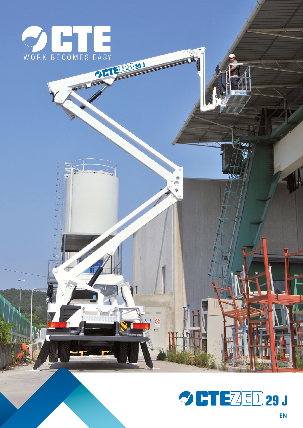



Ä

 $\circledcirc$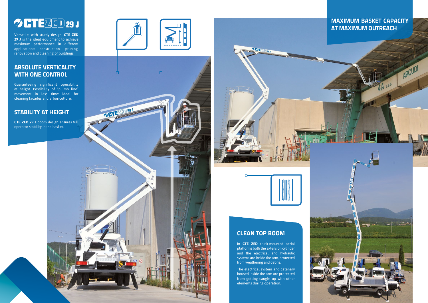# **OCTEZED 29 J**

Versatile, with sturdy design, **CTE ZED 29 J** is the ideal equipment to achieve maximum performance in different applications: construction, pruning, renovation and cleaning of buildings.

#### **ABSOLUTE VERTICALITY WITH ONE control**

In **CTE ZED** truck-mounted aerial platforms both the extension cylinder and the electrical and hydraulic systems are inside the arm, protected from weathering and debris.

Guaranteeing significant operability at height. Possibility of "plumb line" movement in less time: ideal for cleaning facades and arboriculture.

#### **STABILITY AT HEIGHT**

**CTE ZED 29 J** boom design ensures full operator stability in the basket.



OFTEZED29J





#### **Maximum basket capacity at maximum outreach**

ARCUDI

#### **CLEAN TOP BOOM**

The electrical system and catenary housed inside the arm are protected from getting caught up with other elements during operation.